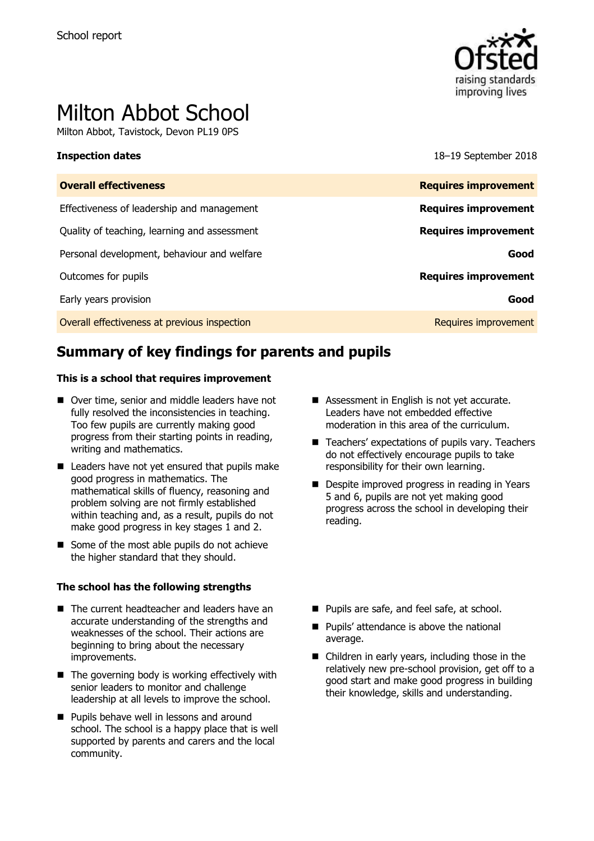

# Milton Abbot School

Milton Abbot, Tavistock, Devon PL19 0PS

**Inspection dates** 18–19 September 2018

| <b>Overall effectiveness</b>                 | <b>Requires improvement</b> |
|----------------------------------------------|-----------------------------|
| Effectiveness of leadership and management   | <b>Requires improvement</b> |
| Quality of teaching, learning and assessment | <b>Requires improvement</b> |
| Personal development, behaviour and welfare  | Good                        |
| Outcomes for pupils                          | <b>Requires improvement</b> |
| Early years provision                        | Good                        |
| Overall effectiveness at previous inspection | Requires improvement        |

# **Summary of key findings for parents and pupils**

#### **This is a school that requires improvement**

- Over time, senior and middle leaders have not fully resolved the inconsistencies in teaching. Too few pupils are currently making good progress from their starting points in reading, writing and mathematics.
- Leaders have not yet ensured that pupils make good progress in mathematics. The mathematical skills of fluency, reasoning and problem solving are not firmly established within teaching and, as a result, pupils do not make good progress in key stages 1 and 2.
- Some of the most able pupils do not achieve the higher standard that they should.

#### **The school has the following strengths**

- The current headteacher and leaders have an accurate understanding of the strengths and weaknesses of the school. Their actions are beginning to bring about the necessary improvements.
- $\blacksquare$  The governing body is working effectively with senior leaders to monitor and challenge leadership at all levels to improve the school.
- **Pupils behave well in lessons and around** school. The school is a happy place that is well supported by parents and carers and the local community.
- Assessment in English is not vet accurate. Leaders have not embedded effective moderation in this area of the curriculum.
- Teachers' expectations of pupils vary. Teachers do not effectively encourage pupils to take responsibility for their own learning.
- Despite improved progress in reading in Years 5 and 6, pupils are not yet making good progress across the school in developing their reading.
- Pupils are safe, and feel safe, at school.
- **Pupils' attendance is above the national** average.
- Children in early years, including those in the relatively new pre-school provision, get off to a good start and make good progress in building their knowledge, skills and understanding.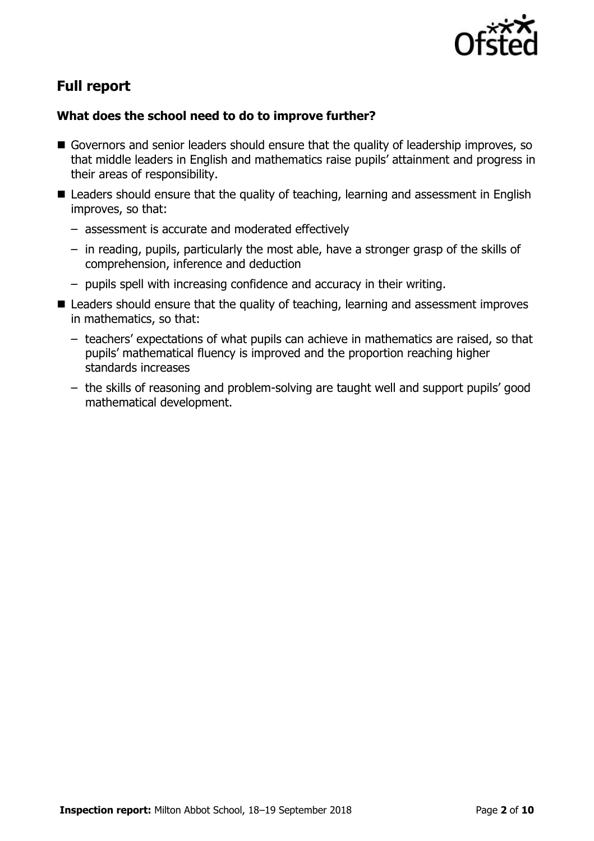

# **Full report**

### **What does the school need to do to improve further?**

- Governors and senior leaders should ensure that the quality of leadership improves, so that middle leaders in English and mathematics raise pupils' attainment and progress in their areas of responsibility.
- Leaders should ensure that the quality of teaching, learning and assessment in English improves, so that:
	- assessment is accurate and moderated effectively
	- in reading, pupils, particularly the most able, have a stronger grasp of the skills of comprehension, inference and deduction
	- pupils spell with increasing confidence and accuracy in their writing.
- Leaders should ensure that the quality of teaching, learning and assessment improves in mathematics, so that:
	- teachers' expectations of what pupils can achieve in mathematics are raised, so that pupils' mathematical fluency is improved and the proportion reaching higher standards increases
	- the skills of reasoning and problem-solving are taught well and support pupils' good mathematical development.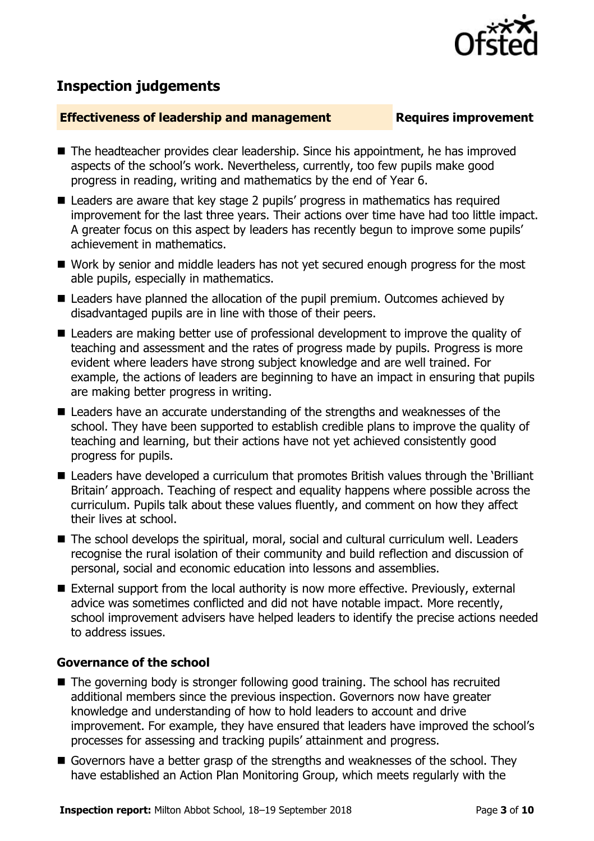# **Inspection judgements**

#### **Effectiveness of leadership and management Requires improvement**

- The headteacher provides clear leadership. Since his appointment, he has improved aspects of the school's work. Nevertheless, currently, too few pupils make good progress in reading, writing and mathematics by the end of Year 6.
- Leaders are aware that key stage 2 pupils' progress in mathematics has required improvement for the last three years. Their actions over time have had too little impact. A greater focus on this aspect by leaders has recently begun to improve some pupils' achievement in mathematics.
- Work by senior and middle leaders has not yet secured enough progress for the most able pupils, especially in mathematics.
- Leaders have planned the allocation of the pupil premium. Outcomes achieved by disadvantaged pupils are in line with those of their peers.
- Leaders are making better use of professional development to improve the quality of teaching and assessment and the rates of progress made by pupils. Progress is more evident where leaders have strong subject knowledge and are well trained. For example, the actions of leaders are beginning to have an impact in ensuring that pupils are making better progress in writing.
- Leaders have an accurate understanding of the strengths and weaknesses of the school. They have been supported to establish credible plans to improve the quality of teaching and learning, but their actions have not yet achieved consistently good progress for pupils.
- Leaders have developed a curriculum that promotes British values through the 'Brilliant' Britain' approach. Teaching of respect and equality happens where possible across the curriculum. Pupils talk about these values fluently, and comment on how they affect their lives at school.
- The school develops the spiritual, moral, social and cultural curriculum well. Leaders recognise the rural isolation of their community and build reflection and discussion of personal, social and economic education into lessons and assemblies.
- External support from the local authority is now more effective. Previously, external advice was sometimes conflicted and did not have notable impact. More recently, school improvement advisers have helped leaders to identify the precise actions needed to address issues.

### **Governance of the school**

- The governing body is stronger following good training. The school has recruited additional members since the previous inspection. Governors now have greater knowledge and understanding of how to hold leaders to account and drive improvement. For example, they have ensured that leaders have improved the school's processes for assessing and tracking pupils' attainment and progress.
- Governors have a better grasp of the strengths and weaknesses of the school. They have established an Action Plan Monitoring Group, which meets regularly with the

**Inspection report:** Milton Abbot School, 18–19 September 2018 Page 3 of 10

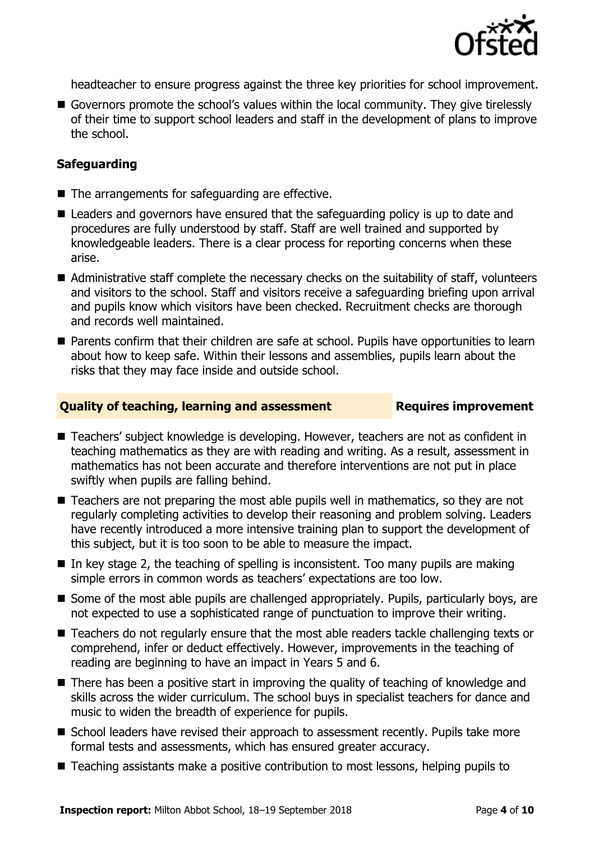

headteacher to ensure progress against the three key priorities for school improvement.

Governors promote the school's values within the local community. They give tirelessly of their time to support school leaders and staff in the development of plans to improve the school.

#### **Safeguarding**

- $\blacksquare$  The arrangements for safeguarding are effective.
- Leaders and governors have ensured that the safeguarding policy is up to date and procedures are fully understood by staff. Staff are well trained and supported by knowledgeable leaders. There is a clear process for reporting concerns when these arise.
- Administrative staff complete the necessary checks on the suitability of staff, volunteers and visitors to the school. Staff and visitors receive a safeguarding briefing upon arrival and pupils know which visitors have been checked. Recruitment checks are thorough and records well maintained.
- **Parents confirm that their children are safe at school. Pupils have opportunities to learn** about how to keep safe. Within their lessons and assemblies, pupils learn about the risks that they may face inside and outside school.

#### **Quality of teaching, learning and assessment Requires improvement**

- Teachers' subject knowledge is developing. However, teachers are not as confident in teaching mathematics as they are with reading and writing. As a result, assessment in mathematics has not been accurate and therefore interventions are not put in place swiftly when pupils are falling behind.
- Teachers are not preparing the most able pupils well in mathematics, so they are not regularly completing activities to develop their reasoning and problem solving. Leaders have recently introduced a more intensive training plan to support the development of this subject, but it is too soon to be able to measure the impact.
- $\blacksquare$  In key stage 2, the teaching of spelling is inconsistent. Too many pupils are making simple errors in common words as teachers' expectations are too low.
- Some of the most able pupils are challenged appropriately. Pupils, particularly boys, are not expected to use a sophisticated range of punctuation to improve their writing.
- Teachers do not regularly ensure that the most able readers tackle challenging texts or comprehend, infer or deduct effectively. However, improvements in the teaching of reading are beginning to have an impact in Years 5 and 6.
- There has been a positive start in improving the quality of teaching of knowledge and skills across the wider curriculum. The school buys in specialist teachers for dance and music to widen the breadth of experience for pupils.
- School leaders have revised their approach to assessment recently. Pupils take more formal tests and assessments, which has ensured greater accuracy.
- Teaching assistants make a positive contribution to most lessons, helping pupils to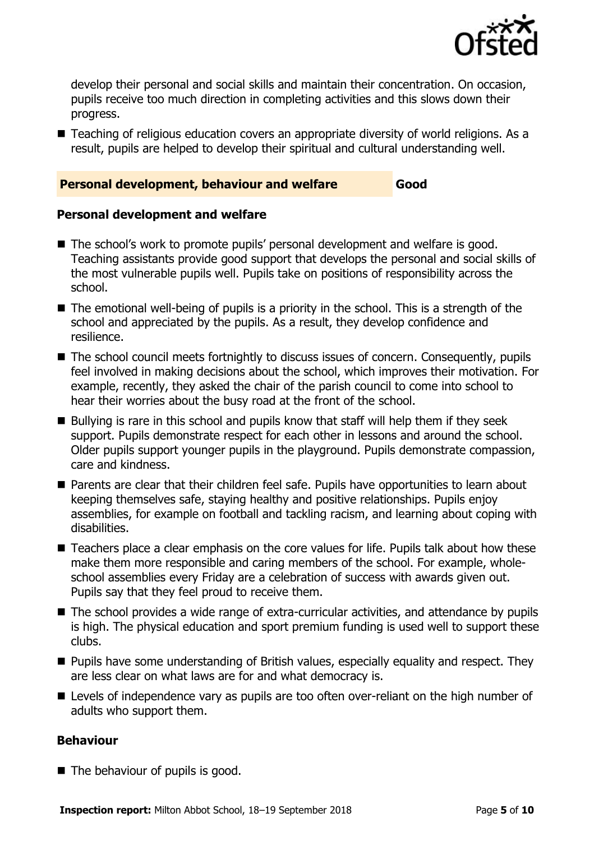

develop their personal and social skills and maintain their concentration. On occasion, pupils receive too much direction in completing activities and this slows down their progress.

■ Teaching of religious education covers an appropriate diversity of world religions. As a result, pupils are helped to develop their spiritual and cultural understanding well.

#### **Personal development, behaviour and welfare Good**

**Personal development and welfare**

- The school's work to promote pupils' personal development and welfare is good. Teaching assistants provide good support that develops the personal and social skills of the most vulnerable pupils well. Pupils take on positions of responsibility across the school.
- The emotional well-being of pupils is a priority in the school. This is a strength of the school and appreciated by the pupils. As a result, they develop confidence and resilience.
- The school council meets fortnightly to discuss issues of concern. Consequently, pupils feel involved in making decisions about the school, which improves their motivation. For example, recently, they asked the chair of the parish council to come into school to hear their worries about the busy road at the front of the school.
- $\blacksquare$  Bullying is rare in this school and pupils know that staff will help them if they seek support. Pupils demonstrate respect for each other in lessons and around the school. Older pupils support younger pupils in the playground. Pupils demonstrate compassion, care and kindness.
- Parents are clear that their children feel safe. Pupils have opportunities to learn about keeping themselves safe, staying healthy and positive relationships. Pupils enjoy assemblies, for example on football and tackling racism, and learning about coping with disabilities.
- Teachers place a clear emphasis on the core values for life. Pupils talk about how these make them more responsible and caring members of the school. For example, wholeschool assemblies every Friday are a celebration of success with awards given out. Pupils say that they feel proud to receive them.
- The school provides a wide range of extra-curricular activities, and attendance by pupils is high. The physical education and sport premium funding is used well to support these clubs.
- **Pupils have some understanding of British values, especially equality and respect. They** are less clear on what laws are for and what democracy is.
- **E** Levels of independence vary as pupils are too often over-reliant on the high number of adults who support them.

#### **Behaviour**

 $\blacksquare$  The behaviour of pupils is good.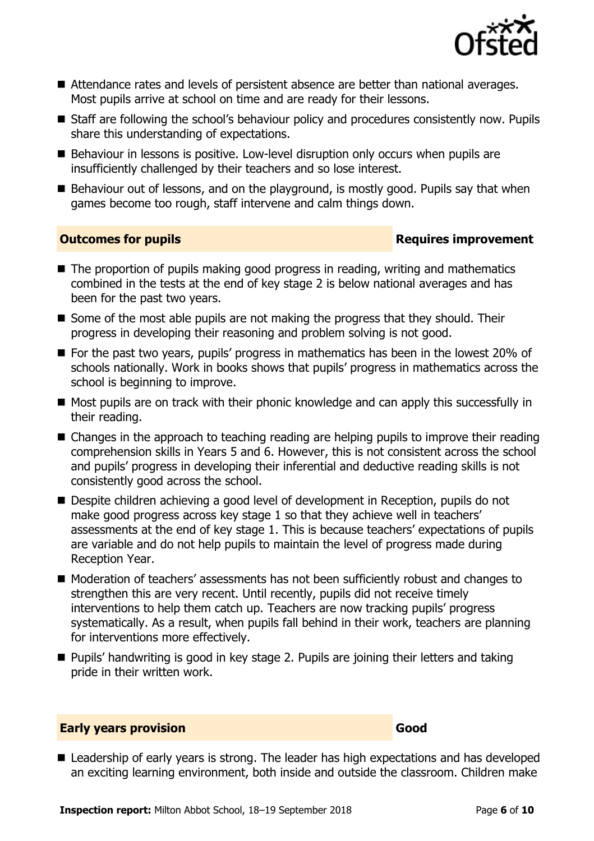

- Attendance rates and levels of persistent absence are better than national averages. Most pupils arrive at school on time and are ready for their lessons.
- Staff are following the school's behaviour policy and procedures consistently now. Pupils share this understanding of expectations.
- Behaviour in lessons is positive. Low-level disruption only occurs when pupils are insufficiently challenged by their teachers and so lose interest.
- Behaviour out of lessons, and on the playground, is mostly good. Pupils say that when games become too rough, staff intervene and calm things down.

### **Outcomes for pupils Requires improvement**

- The proportion of pupils making good progress in reading, writing and mathematics combined in the tests at the end of key stage 2 is below national averages and has been for the past two years.
- Some of the most able pupils are not making the progress that they should. Their progress in developing their reasoning and problem solving is not good.
- For the past two years, pupils' progress in mathematics has been in the lowest 20% of schools nationally. Work in books shows that pupils' progress in mathematics across the school is beginning to improve.
- Most pupils are on track with their phonic knowledge and can apply this successfully in their reading.
- Changes in the approach to teaching reading are helping pupils to improve their reading comprehension skills in Years 5 and 6. However, this is not consistent across the school and pupils' progress in developing their inferential and deductive reading skills is not consistently good across the school.
- Despite children achieving a good level of development in Reception, pupils do not make good progress across key stage 1 so that they achieve well in teachers' assessments at the end of key stage 1. This is because teachers' expectations of pupils are variable and do not help pupils to maintain the level of progress made during Reception Year.
- Moderation of teachers' assessments has not been sufficiently robust and changes to strengthen this are very recent. Until recently, pupils did not receive timely interventions to help them catch up. Teachers are now tracking pupils' progress systematically. As a result, when pupils fall behind in their work, teachers are planning for interventions more effectively.
- Pupils' handwriting is good in key stage 2. Pupils are joining their letters and taking pride in their written work.

#### **Early years provision Good Good**

■ Leadership of early years is strong. The leader has high expectations and has developed an exciting learning environment, both inside and outside the classroom. Children make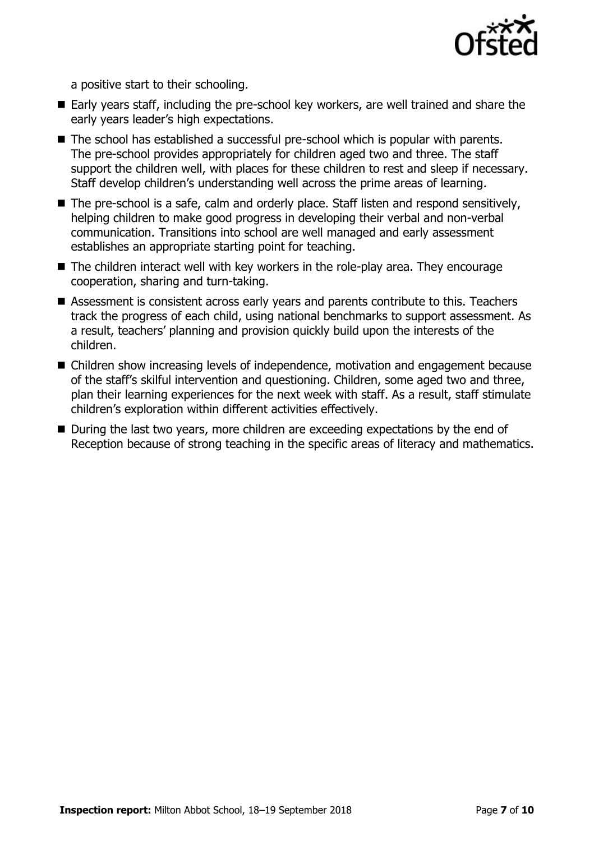

a positive start to their schooling.

- Early years staff, including the pre-school key workers, are well trained and share the early years leader's high expectations.
- The school has established a successful pre-school which is popular with parents. The pre-school provides appropriately for children aged two and three. The staff support the children well, with places for these children to rest and sleep if necessary. Staff develop children's understanding well across the prime areas of learning.
- The pre-school is a safe, calm and orderly place. Staff listen and respond sensitively, helping children to make good progress in developing their verbal and non-verbal communication. Transitions into school are well managed and early assessment establishes an appropriate starting point for teaching.
- The children interact well with key workers in the role-play area. They encourage cooperation, sharing and turn-taking.
- Assessment is consistent across early years and parents contribute to this. Teachers track the progress of each child, using national benchmarks to support assessment. As a result, teachers' planning and provision quickly build upon the interests of the children.
- Children show increasing levels of independence, motivation and engagement because of the staff's skilful intervention and questioning. Children, some aged two and three, plan their learning experiences for the next week with staff. As a result, staff stimulate children's exploration within different activities effectively.
- During the last two years, more children are exceeding expectations by the end of Reception because of strong teaching in the specific areas of literacy and mathematics.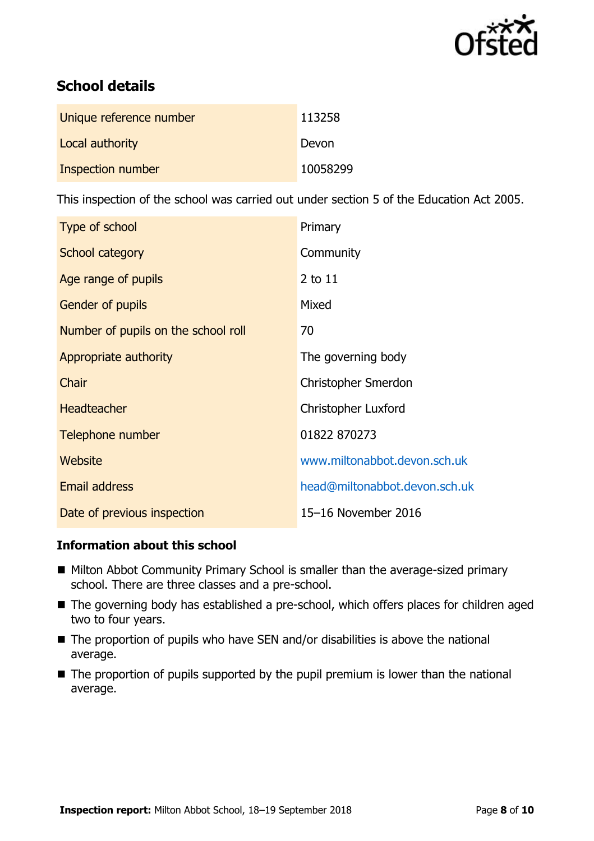

# **School details**

| Unique reference number | 113258   |
|-------------------------|----------|
| Local authority         | Devon    |
| Inspection number       | 10058299 |

This inspection of the school was carried out under section 5 of the Education Act 2005.

| Type of school                      | Primary                       |
|-------------------------------------|-------------------------------|
| School category                     | Community                     |
| Age range of pupils                 | 2 to 11                       |
| <b>Gender of pupils</b>             | Mixed                         |
| Number of pupils on the school roll | 70                            |
| Appropriate authority               | The governing body            |
| Chair                               | Christopher Smerdon           |
| <b>Headteacher</b>                  | <b>Christopher Luxford</b>    |
| Telephone number                    | 01822 870273                  |
| Website                             | www.miltonabbot.devon.sch.uk  |
| <b>Email address</b>                | head@miltonabbot.devon.sch.uk |
| Date of previous inspection         | 15-16 November 2016           |

### **Information about this school**

- Milton Abbot Community Primary School is smaller than the average-sized primary school. There are three classes and a pre-school.
- The governing body has established a pre-school, which offers places for children aged two to four years.
- $\blacksquare$  The proportion of pupils who have SEN and/or disabilities is above the national average.
- $\blacksquare$  The proportion of pupils supported by the pupil premium is lower than the national average.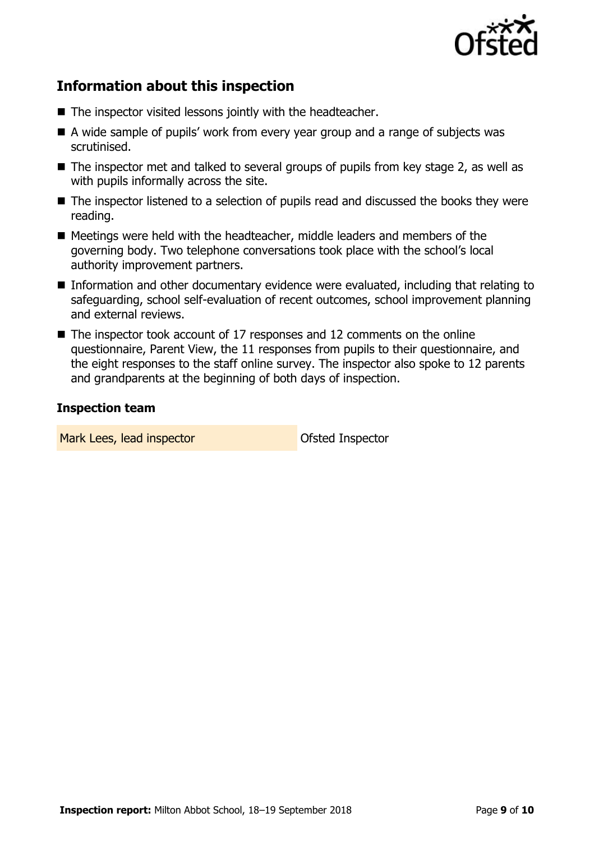

# **Information about this inspection**

- The inspector visited lessons jointly with the headteacher.
- A wide sample of pupils' work from every year group and a range of subjects was scrutinised.
- $\blacksquare$  The inspector met and talked to several groups of pupils from key stage 2, as well as with pupils informally across the site.
- The inspector listened to a selection of pupils read and discussed the books they were reading.
- Meetings were held with the headteacher, middle leaders and members of the governing body. Two telephone conversations took place with the school's local authority improvement partners.
- Information and other documentary evidence were evaluated, including that relating to safeguarding, school self-evaluation of recent outcomes, school improvement planning and external reviews.
- The inspector took account of 17 responses and 12 comments on the online questionnaire, Parent View, the 11 responses from pupils to their questionnaire, and the eight responses to the staff online survey. The inspector also spoke to 12 parents and grandparents at the beginning of both days of inspection.

#### **Inspection team**

Mark Lees, lead inspector and offsted Inspector